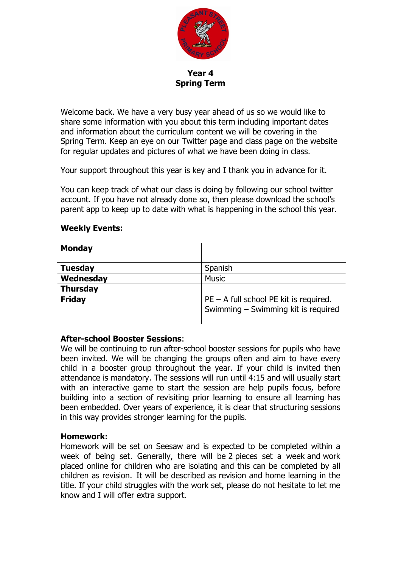

**Year 4 Spring Term**

Welcome back. We have a very busy year ahead of us so we would like to share some information with you about this term including important dates and information about the curriculum content we will be covering in the Spring Term. Keep an eye on our Twitter page and class page on the website for regular updates and pictures of what we have been doing in class.

Your support throughout this year is key and I thank you in advance for it.

You can keep track of what our class is doing by following our school twitter account. If you have not already done so, then please download the school's parent app to keep up to date with what is happening in the school this year.

## **Weekly Events:**

| <b>Monday</b>   |                                                                                 |  |  |
|-----------------|---------------------------------------------------------------------------------|--|--|
| <b>Tuesday</b>  | Spanish                                                                         |  |  |
| Wednesday       | <b>Music</b>                                                                    |  |  |
| <b>Thursday</b> |                                                                                 |  |  |
| <b>Friday</b>   | $PE - A$ full school PE kit is required.<br>Swimming - Swimming kit is required |  |  |

## **After-school Booster Sessions**:

We will be continuing to run after-school booster sessions for pupils who have been invited. We will be changing the groups often and aim to have every child in a booster group throughout the year. If your child is invited then attendance is mandatory. The sessions will run until 4:15 and will usually start with an interactive game to start the session are help pupils focus, before building into a section of revisiting prior learning to ensure all learning has been embedded. Over years of experience, it is clear that structuring sessions in this way provides stronger learning for the pupils.

#### **Homework:**

Homework will be set on Seesaw and is expected to be completed within a week of being set. Generally, there will be 2 pieces set a week and work placed online for children who are isolating and this can be completed by all children as revision.  It will be described as revision and home learning in the title.  If your child struggles with the work set, please do not hesitate to let me know and I will offer extra support.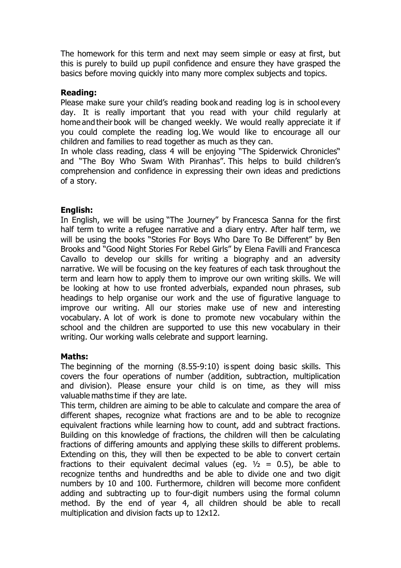The homework for this term and next may seem simple or easy at first, but this is purely to build up pupil confidence and ensure they have grasped the basics before moving quickly into many more complex subjects and topics.

### **Reading:**

Please make sure your child's reading book and reading log is in school every day.  It is really important that you read with your child regularly at home and their book will be changed weekly. We would really appreciate it if you could complete the reading log. We would like to encourage all our children and families to read together as much as they can. 

In whole class reading, class 4 will be enjoying "The Spiderwick Chronicles" and "The Boy Who Swam With Piranhas". This helps to build children's comprehension and confidence in expressing their own ideas and predictions of a story. 

## **English:**

In English, we will be using "The Journey" by Francesca Sanna for the first half term to write a refugee narrative and a diary entry. After half term, we will be using the books "Stories For Boys Who Dare To Be Different" by Ben Brooks and "Good Night Stories For Rebel Girls" by Elena Favilli and Francesca Cavallo to develop our skills for writing a biography and an adversity narrative. We will be focusing on the key features of each task throughout the term and learn how to apply them to improve our own writing skills. We will be looking at how to use fronted adverbials, expanded noun phrases, sub headings to help organise our work and the use of figurative language to improve our writing. All our stories make use of new and interesting vocabulary. A lot of work is done to promote new vocabulary within the school and the children are supported to use this new vocabulary in their writing. Our working walls celebrate and support learning.

## **Maths:**

The beginning of the morning (8.55-9:10) is spent doing basic skills. This covers the four operations of number (addition, subtraction, multiplication and division). Please ensure your child is on time, as they will miss valuable maths time if they are late. 

This term, children are aiming to be able to calculate and compare the area of different shapes, recognize what fractions are and to be able to recognize equivalent fractions while learning how to count, add and subtract fractions. Building on this knowledge of fractions, the children will then be calculating fractions of differing amounts and applying these skills to different problems. Extending on this, they will then be expected to be able to convert certain fractions to their equivalent decimal values (eq.  $\frac{1}{2}$  = 0.5), be able to recognize tenths and hundredths and be able to divide one and two digit numbers by 10 and 100. Furthermore, children will become more confident adding and subtracting up to four-digit numbers using the formal column method. By the end of year 4, all children should be able to recall multiplication and division facts up to 12x12.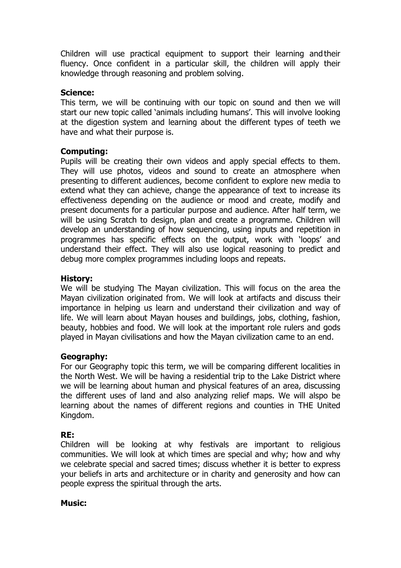Children will use practical equipment to support their learning and their fluency. Once confident in a particular skill, the children will apply their knowledge through reasoning and problem solving.

### **Science:**

This term, we will be continuing with our topic on sound and then we will start our new topic called 'animals including humans'. This will involve looking at the digestion system and learning about the different types of teeth we have and what their purpose is.

### **Computing:**

Pupils will be creating their own videos and apply special effects to them. They will use photos, videos and sound to create an atmosphere when presenting to different audiences, become confident to explore new media to extend what they can achieve, change the appearance of text to increase its effectiveness depending on the audience or mood and create, modify and present documents for a particular purpose and audience. After half term, we will be using Scratch to design, plan and create a programme. Children will develop an understanding of how sequencing, using inputs and repetition in programmes has specific effects on the output, work with 'loops' and understand their effect. They will also use logical reasoning to predict and debug more complex programmes including loops and repeats.

### **History:**

We will be studying The Mayan civilization. This will focus on the area the Mayan civilization originated from. We will look at artifacts and discuss their importance in helping us learn and understand their civilization and way of life. We will learn about Mayan houses and buildings, jobs, clothing, fashion, beauty, hobbies and food. We will look at the important role rulers and gods played in Mayan civilisations and how the Mayan civilization came to an end.

## **Geography:**

For our Geography topic this term, we will be comparing different localities in the North West. We will be having a residential trip to the Lake District where we will be learning about human and physical features of an area, discussing the different uses of land and also analyzing relief maps. We will alspo be learning about the names of different regions and counties in THE United Kingdom.

## **RE:**

Children will be looking at why festivals are important to religious communities. We will look at which times are special and why; how and why we celebrate special and sacred times; discuss whether it is better to express your beliefs in arts and architecture or in charity and generosity and how can people express the spiritual through the arts.

#### **Music:**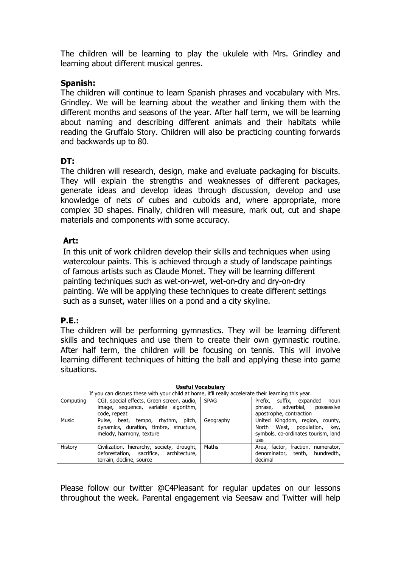The children will be learning to play the ukulele with Mrs. Grindley and learning about different musical genres.

## **Spanish:**

The children will continue to learn Spanish phrases and vocabulary with Mrs. Grindley. We will be learning about the weather and linking them with the different months and seasons of the year. After half term, we will be learning about naming and describing different animals and their habitats while reading the Gruffalo Story. Children will also be practicing counting forwards and backwards up to 80.

# **DT:**

The children will research, design, make and evaluate packaging for biscuits. They will explain the strengths and weaknesses of different packages, generate ideas and develop ideas through discussion, develop and use knowledge of nets of cubes and cuboids and, where appropriate, more complex 3D shapes. Finally, children will measure, mark out, cut and shape materials and components with some accuracy.

## **Art:**

In this unit of work children develop their skills and techniques when using watercolour paints. This is achieved through a study of landscape paintings of famous artists such as Claude Monet. They will be learning different painting techniques such as wet-on-wet, wet-on-dry and dry-on-dry painting. We will be applying these techniques to create different settings such as a sunset, water lilies on a pond and a city skyline.

# **P.E.:**

The children will be performing gymnastics. They will be learning different skills and techniques and use them to create their own gymnastic routine. After half term, the children will be focusing on tennis. This will involve learning different techniques of hitting the ball and applying these into game situations.

| If you can discuss these with your child at home, it'll really accelerate their learning this year. |                                                                                                                   |           |                                                                                                                  |
|-----------------------------------------------------------------------------------------------------|-------------------------------------------------------------------------------------------------------------------|-----------|------------------------------------------------------------------------------------------------------------------|
| Computing                                                                                           | CGI, special effects, Green screen, audio, SPAG                                                                   |           | Prefix.<br>suffix, expanded<br>noun                                                                              |
|                                                                                                     | image, sequence, variable algorithm,                                                                              |           | phrase, adverbial,<br>possessive                                                                                 |
|                                                                                                     | code, repeat                                                                                                      |           | apostrophe, contraction                                                                                          |
| Music                                                                                               | Pulse, beat, tempo, rhythm, pitch,<br>dynamics, duration, timbre, structure,<br>melody, harmony, texture          | Geography | United Kingdom, region, county,<br>West, population, key,<br>North<br>symbols, co-ordinates tourism, land<br>use |
| History                                                                                             | Civilization, hierarchy, society, drought,<br>deforestation, sacrifice, architecture,<br>terrain, decline, source | Maths     | Area, factor, fraction, numerator,<br>denominator, tenth, hundredth,<br>decimal                                  |

**Useful Vocabulary**

Please follow our twitter @C4Pleasant for regular updates on our lessons throughout the week. Parental engagement via Seesaw and Twitter will help